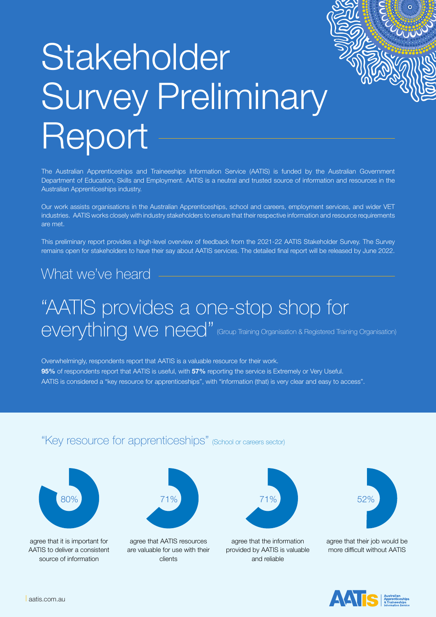# Stakeholder Survey Preliminary Report

The Australian Apprenticeships and Traineeships Information Service (AATIS) is funded by the Australian Government Department of Education, Skills and Employment. AATIS is a neutral and trusted source of information and resources in the Australian Apprenticeships industry.

Our work assists organisations in the Australian Apprenticeships, school and careers, employment services, and wider VET industries. AATIS works closely with industry stakeholders to ensure that their respective information and resource requirements are met.

This preliminary report provides a high-level overview of feedback from the 2021-22 AATIS Stakeholder Survey. The Survey remains open for stakeholders to have their say about AATIS services. The detailed final report will be released by June 2022.

## What we've heard

## "AATIS provides a one-stop shop for everything we need" (Group Training Organisation & Registered Training Organisation)

Overwhelmingly, respondents report that AATIS is a valuable resource for their work. **95%** of respondents report that AATIS is useful, with **57%** reporting the service is Extremely or Very Useful. AATIS is considered a "key resource for apprenticeships", with "information (that) is very clear and easy to access".

## "Key resource for apprenticeships" (School or careers sector)



agree that it is important for AATIS to deliver a consistent source of information



agree that AATIS resources are valuable for use with their clients



agree that the information provided by AATIS is valuable and reliable



agree that their job would be more difficult without AATIS

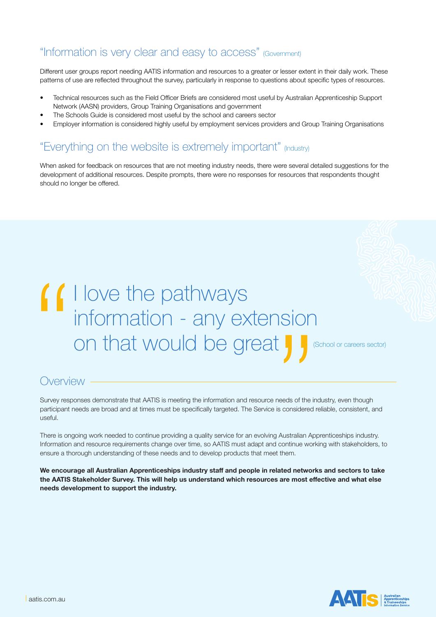## "Information is very clear and easy to access" (Government)

Different user groups report needing AATIS information and resources to a greater or lesser extent in their daily work. These patterns of use are reflected throughout the survey, particularly in response to questions about specific types of resources.

- Technical resources such as the Field Officer Briefs are considered most useful by Australian Apprenticeship Support Network (AASN) providers, Group Training Organisations and government
- The Schools Guide is considered most useful by the school and careers sector
- Employer information is considered highly useful by employment services providers and Group Training Organisations

## "Everything on the website is extremely important" (Industry)

When asked for feedback on resources that are not meeting industry needs, there were several detailed suggestions for the development of additional resources. Despite prompts, there were no responses for resources that respondents thought should no longer be offered.

# I love the pathways information - any extension *I* I love the pathways<br>
information - any extension<br>
on that would be great  $\int_0^1$

(School or careers sector)

## **Overview**

Survey responses demonstrate that AATIS is meeting the information and resource needs of the industry, even though participant needs are broad and at times must be specifically targeted. The Service is considered reliable, consistent, and useful.

There is ongoing work needed to continue providing a quality service for an evolving Australian Apprenticeships industry. Information and resource requirements change over time, so AATIS must adapt and continue working with stakeholders, to ensure a thorough understanding of these needs and to develop products that meet them.

**We encourage all Australian Apprenticeships industry staff and people in related networks and sectors to take the AATIS Stakeholder Survey. This will help us understand which resources are most effective and what else needs development to support the industry.**

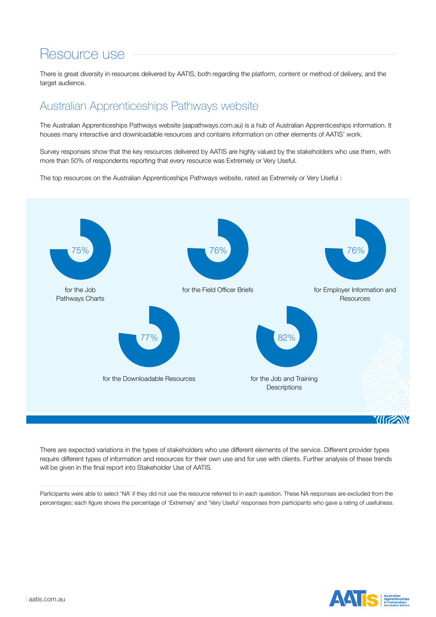## Resource use

There is great diversity in resources delivered by AATIS, both regarding the platform, content or method of delivery, and the target audience.

## Australian Apprenticeships Pathways website

The Australian Apprenticeships Pathways website (aapathways.com.au) is a hub of Australian Apprenticeships information. It houses many interactive and downloadable resources and contains information on other elements of AATIS' work.

Survey responses show that the key resources delivered by AATIS are highly valued by the stakeholders who use them, with more than 50% of respondents reporting that every resource was Extremely or Very Useful.

The top resources on the Australian Apprenticeships Pathways website, rated as Extremely or Very Useful :



There are expected variations in the types of stakeholders who use different elements of the service. Different provider types require different types of information and resources for their own use and for use with clients. Further analysis of these trends will be given in the final report into Stakeholder Use of AATIS.

Participants were able to select 'NA' if they did not use the resource referred to in each question. These NA responses are excluded from the percentages; each figure shows the percentage of 'Extremely' and 'Very Useful' responses from participants who gave a rating of usefulness.

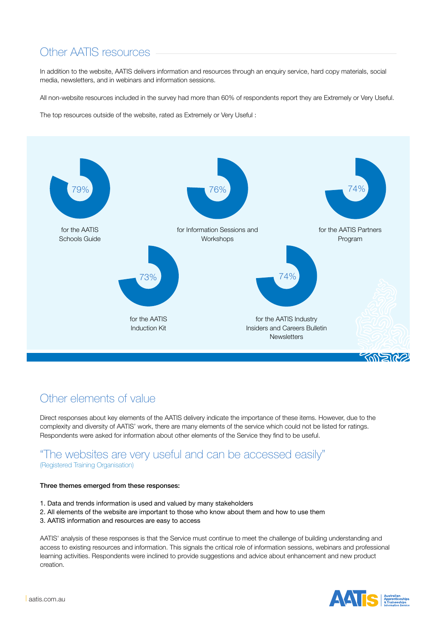## Other AATIS resources

In addition to the website, AATIS delivers information and resources through an enquiry service, hard copy materials, social media, newsletters, and in webinars and information sessions.

All non-website resources included in the survey had more than 60% of respondents report they are Extremely or Very Useful.

The top resources outside of the website, rated as Extremely or Very Useful :



## Other elements of value

Direct responses about key elements of the AATIS delivery indicate the importance of these items. However, due to the complexity and diversity of AATIS' work, there are many elements of the service which could not be listed for ratings. Respondents were asked for information about other elements of the Service they find to be useful.

### "The websites are very useful and can be accessed easily" (Registered Training Organisation)

#### Three themes emerged from these responses:

- 1. Data and trends information is used and valued by many stakeholders
- 2. All elements of the website are important to those who know about them and how to use them
- 3. AATIS information and resources are easy to access

AATIS' analysis of these responses is that the Service must continue to meet the challenge of building understanding and access to existing resources and information. This signals the critical role of information sessions, webinars and professional learning activities. Respondents were inclined to provide suggestions and advice about enhancement and new product creation.

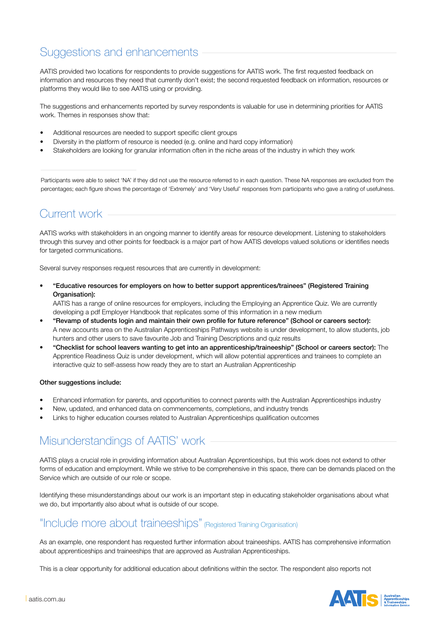## Suggestions and enhancements

AATIS provided two locations for respondents to provide suggestions for AATIS work. The first requested feedback on information and resources they need that currently don't exist; the second requested feedback on information, resources or platforms they would like to see AATIS using or providing.

The suggestions and enhancements reported by survey respondents is valuable for use in determining priorities for AATIS work. Themes in responses show that:

- Additional resources are needed to support specific client groups
- Diversity in the platform of resource is needed (e.g. online and hard copy information)
- Stakeholders are looking for granular information often in the niche areas of the industry in which they work

Participants were able to select 'NA' if they did not use the resource referred to in each question. These NA responses are excluded from the percentages; each figure shows the percentage of 'Extremely' and 'Very Useful' responses from participants who gave a rating of usefulness.

## Current work

AATIS works with stakeholders in an ongoing manner to identify areas for resource development. Listening to stakeholders through this survey and other points for feedback is a major part of how AATIS develops valued solutions or identifies needs for targeted communications.

Several survey responses request resources that are currently in development:

• "Educative resources for employers on how to better support apprentices/trainees" (Registered Training Organisation):

AATIS has a range of online resources for employers, including the Employing an Apprentice Quiz. We are currently developing a pdf Employer Handbook that replicates some of this information in a new medium

- "Revamp of students login and maintain their own profile for future reference" (School or careers sector): A new accounts area on the Australian Apprenticeships Pathways website is under development, to allow students, job hunters and other users to save favourite Job and Training Descriptions and quiz results
- "Checklist for school leavers wanting to get into an apprenticeship/traineeship" (School or careers sector): The Apprentice Readiness Quiz is under development, which will allow potential apprentices and trainees to complete an interactive quiz to self-assess how ready they are to start an Australian Apprenticeship

#### Other suggestions include:

- Enhanced information for parents, and opportunities to connect parents with the Australian Apprenticeships industry
- New, updated, and enhanced data on commencements, completions, and industry trends
- Links to higher education courses related to Australian Apprenticeships qualification outcomes

## Misunderstandings of AATIS' work

AATIS plays a crucial role in providing information about Australian Apprenticeships, but this work does not extend to other forms of education and employment. While we strive to be comprehensive in this space, there can be demands placed on the Service which are outside of our role or scope.

Identifying these misunderstandings about our work is an important step in educating stakeholder organisations about what we do, but importantly also about what is outside of our scope.

### "Include more about traineeships" (Registered Training Organisation)

As an example, one respondent has requested further information about traineeships. AATIS has comprehensive information about apprenticeships and traineeships that are approved as Australian Apprenticeships.

This is a clear opportunity for additional education about definitions within the sector. The respondent also reports not